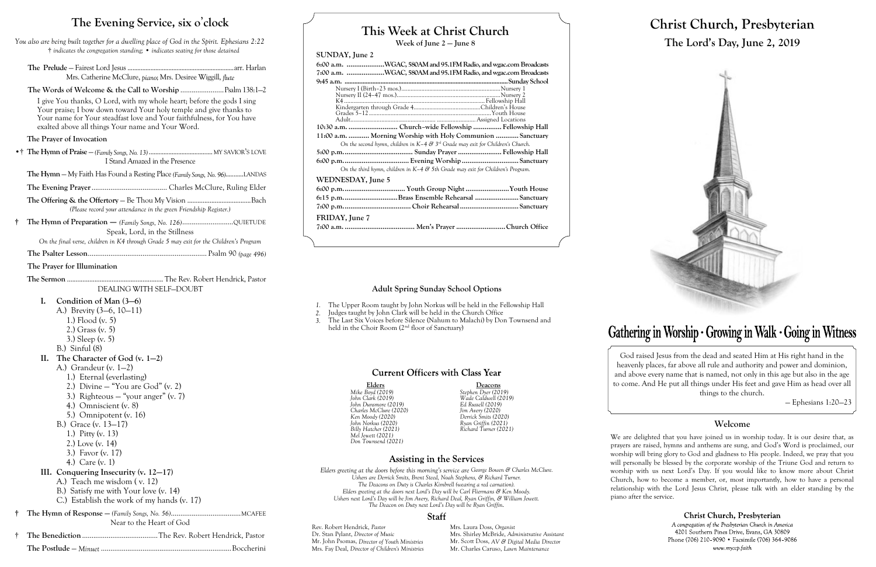# **This Week at Christ Church**

**Week of June 2 — June 8**

## **SUNDAY, June 2**

#### Elders **Deacons**<br>
Mike Boyd (2019) Stephen Dyer (2019) *Mike Boyd (2019) Stephen Dyer (2019) John Dunsmore (2019) Ed Russell (2019) Charles McClure (2020) Jim Avery (2020) Ken Moody (2020) Derrick Smits (2020) John Norkus (2020) Ryan Griffin (2021) Mel Jewett (2021) Don Townsend (2021)*

Rev. Robert Hendrick, *Pastor* Mrs. Laura Doss, *Organist*<br>Dr. Stan Pylant, *Director of Music* Mrs. Shirley McBride, *Adm* Mr. John Psomas, *Director of Youth Ministries* Mrs. Fay Deal, *Director of Children's Ministries* Mr. Charles Caruso, *Lawn Maintenance*

*John Clark (2019) Wade Caldwell (2019) Billy Hatcher (2021) Richard Turner (2021)*

# **Assisting in the Services**

*Elders greeting at the doors before this morning's service are George Bowen & Charles McClure. Ushers are Derrick Smits, Brent Steed, Noah Stephens, & Richard Turner. The Deacons on Duty is Charles Kimbrell (wearing a red carnation). Elders greeting at the doors next Lord's Day will be Carl Fliermans & Ken Moody. Ushers next Lord's Day will be Jim Avery, Richard Deal, Ryan Griffin, & William Jewett. The Deacon on Duty next Lord's Day will be Ryan Griffin.*

#### **Staff**

# **Christ Church, Presbyterian The Lord's Day, June 2, 2019**



# Gathering in Worship · Growing in Walk · Going in Witness

God raised Jesus from the dead and seated Him at His right hand in the heavenly places, far above all rule and authority and power and dominion, and above every name that is named, not only in this age but also in the age to come. And He put all things under His feet and gave Him as head over all things to the church.

- *1.* The Upper Room taught by John Norkus will be held in the Fellowship Hall
- *2.* Judges taught by John Clark will be held in the Church Office
- *3.* The Last Six Voices before Silence (Nahum to Malachi) by Don Townsend and held in the Choir Room  $(2<sup>nd</sup>$  floor of Sanctuary)

# **Current Officers with Class Year**

— Ephesians 1:20—23

# **Welcome**

Christ Church, Presbyterian A congregation of the Presbyterian Church in America 4201 Southern Pines Drive, Evans, GA 30809 Phone (706) 210-9090 • Facsimile (706) 364-9086 www.myccp.faith

We are delighted that you have joined us in worship today. It is our desire that, as prayers are raised, hymns and anthems are sung, and God's Word is proclaimed, our worship will bring glory to God and gladness to His people. Indeed, we pray that you will personally be blessed by the corporate worship of the Triune God and return to worship with us next Lord's Day. If you would like to know more about Christ Church, how to become a member, or, most importantly, how to have a personal relationship with the Lord Jesus Christ, please talk with an elder standing by the piano after the service.

Mrs. Shirley McBride, *Administrative Assistant* Mr. Scott Doss, *AV & Digital Media Director* 

# **The Evening Service, six o**'**clock**

*You also are being built together for a dwelling place of God in the Spirit. Ephesians 2:22* † *indicates the congregation standing;* • *indicates seating for those detained*

| Mrs. Catherine McClure, piano; Mrs. Desiree Wiggill, flute |  |
|------------------------------------------------------------|--|

**The Words of Welcome & the Call to Worship** .......................Psalm 138:1—2

I give You thanks, O Lord, with my whole heart; before the gods I sing Your praise; I bow down toward Your holy temple and give thanks to Your name for Your steadfast love and Your faithfulness, for You have exalted above all things Your name and Your Word.

#### **The Prayer of Invocation**

•† **The Hymn of Praise** — *(Family Songs, No. 13)* ....................................... MY SAVIOR'S LOVE I Stand Amazed in the Presence

**The Hymn** — My Faith Has Found a Resting Place *(Family Songs, No. 96)*...........LANDAS

**The Evening Prayer**........................................ Charles McClure, Ruling Elder

**The Offering & the Offertory** — Be Thou My Vision .....................................Bach *(Please record your attendance in the green Friendship Register.)*

**† The Hymn of Preparation** — *(Family Songs, No. 126)*...........................QUIETUDE Speak, Lord, in the Stillness

*On the final verse, children in K4 through Grade 5 may exit for the Children's Program*

**The Psalter Lesson**............................................................... Psalm 90 *(page 496)*

#### **The Prayer for Illumination**

**The Sermon** ........................................................ The Rev. Robert Hendrick, Pastor DEALING WITH SELF—DOUBT

- **I. Condition of Man (3—6)**
	- A.) Brevity (3—6, 10—11)
		- 1.) Flood (v. 5)
		- 2.) Grass (v. 5)
		- 3.) Sleep (v. 5)
	- B.) Sinful (8)

# **II. The Character of God (v. 1—2)**

- A.) Grandeur (v. 1—2)
- 1.) Eternal (everlasting)
- 2.) Divine "You are God" (v. 2)
- 3.) Righteous "your anger" (v. 7)
- 4.) Omniscient (v. 8)
- 5.) Omnipotent (v. 16)
- B.) Grace (v. 13—17)
	- 1.) Pitty (v. 13)
- 2.) Love (v. 14)
- 3.) Favor (v. 17)
- 4.) Care (v. 1)
- 
- **III. Conquering Insecurity (v. 12—17)** A.) Teach me wisdom ( v. 12)
	-
	- B.) Satisfy me with Your love (v. 14)
	- C.) Establish the work of my hands (v. 17)
- **† The Hymn of Response —** *(Family Songs, No. 56)*.....................................MCAFEE Near to the Heart of God
- † **The Benediction** ........................................The Rev. Robert Hendrick, Pastor **The Postlude** — *Minuet* .....................................................................Boccherini

#### **Adult Spring Sunday School Options**